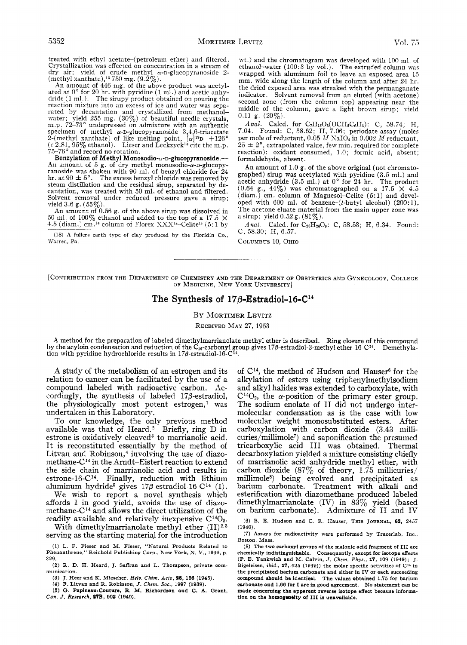treated with ethyl acetate-(petroleum ether) and filtered. Crystallization \vas effected on concentration in a stream of dry air; yield of crude methyl ry-D-glucopyratioside *2-*  (methyl xanthate),I3 **750** mg. **(9.2%).** 

An amount of **446** mg. of the above product was acetyl-ated at 0" for **20** hr. with pyridine (1 ml.) and acetic anhy-dride **(1** ml.). The sirupy product obtained on pouring the reaction mixture into **an** excess of ice and watcr was separated by decantation and crystallized from methanolwater; yield **255** mg. **(30%)** of beautiful needle crystals, m.p. **72-73'** undepressed on admixture with an authentic  $s$ pecimen of methyl  $\alpha$ -D-glucopyranoside  $3,4,6$ -triacetate 2-(methyl xanthate) of like melting point,  $[\alpha]^{27}D +126^{\circ}$ *(r* **2.81,95%** ethanol). *7576'* and record no rotation. Lieser and Leckzyck<sup>13</sup> cite the m.p.

Benzylation of Methyl Monosodio- $\alpha$ -D-glucopyranoside.---An amount of  $5$  g. of dry methyl monosodio- $\alpha$ -D-glucopyranoside was shaken with 90 ml. of benzyl chloride for 24 hr. at 90  $\pm$  5°. The excess benzyl chloride was removed by steam distillation and the residual sirup, separated by decantation, was treated with **50** ml. of ethanol and filtered. Solvent removal under reduced pressure gave a sirup; yield 3.6 g. **(55%).** 

An amount of **0.56** g. of the above sirup was dissolved in **50** ml. of **100%** ethanol and added to the top of a **17.5** X **1.5** (diam.) cm.14 column of Florex XXXlB-Celitel6 **(5:** 1 by

(18) **A fullers earth type of clay produced by the Floridin** *Co.,*  **n'arren,** Pa

wt.) and the chromatogram was developed with **100** ml. of ethanol-water **(100:3** by vol.). The extruded column was wrapped with aluminum foil to leave an exposed area **15**  mm. wide along the length of the column and after **24** hr. the dried exposed area was streaked with the permanganate indicator. Solvent removal from an eluted (with acetone) second zone (from the column top) appearing near the middle of the column, gave a light brown sirup; yield **0.11** g. **(20%).** 

*Anal.* Calcd. for  $C_7H_{13}O_5(OCH_2C_6H_5)$ : C, 58.74; H, **7.04.** Found: C, **58.62;** H, **7.06;** periodate assay (moles per mole of reductant,  $0.05 M$  NaIO<sub>4</sub> in  $0.002 M$  reductant,  $25 \pm 2^{\circ}$ , extrapolated value, few min. required for complete reaction): oxidant consumed, 1 **.O;** formic acid, absent; formaldehyde, absent.

**An** amount of 1 **.0** g. of the above original (not chromatographed) sirup was acetylated with pyridine (3.5 ml.) and acetic anhydride **(3.5** ml.) at 0" for **24** hr. The product  $(0.64 \text{ g.}, 44\%)$  was chromatographed on a 17.5  $\times$  4.5 (diam .) cm. column of Magnesol-Celite **(5** : 1) and developed with **600** ml. of benzene-(t-butyl alcohol) (200:l). The acetone eluate material from the main upper zone was a sirup; yield **0.52** g. **(81%).** 

Anal. Calcd. for C<sub>20</sub>H<sub>26</sub>O<sub>9</sub>: C, 58.53; H, 6.34. Found: **C, 58.30;** H, **6.57.** 

COLUMBUS **10,** OHIO

[CONTRIBUTION FROM THE DEPARTMENT OF CHEMISTRY AND THE DEPARTMENT OF OBSTETRICS AND GYNECOLOGY, COLLEGE **OF** MEDICINE, NEW YORK UNIVERSITY]

## The Synthesis of  $17\beta$ -Estradiol-16-C<sup>14</sup>

### **BY** MORTIMER LEVITZ

RECEIVED MAY **27.** 1953

**A** method for the preparation of labeled dimethylmarrianolate methyl ether is described. Ring closure of this compound by the acyloin condensation and reduction of the C<sub>16</sub>-carbonyl group gives 17 $\beta$ -estradiol-3-methyl ether-16-C<sup>14</sup>. Demethylation with pyridine hydrochloride results in 17 $\beta$ -estradiol-16-C $^{14}$ .

**A** study of the metabolism of an estrogen and its relation to cancer can be facilitated by the use of a compound labeled with radioactive carbon. Accordingly, the synthesis of labeled  $17\beta$ -estradiol, the physiologically most potent estrogen,<sup>1</sup> was undertaken in this Laboratory.

To our knowledge, the only previous method available was that of Heard.2 Briefly, ring D in estrone is oxidatively cleaved<sup>3</sup> to marrianolic acid. It is reconstituted essentially by the method of Litvan and Robinson, $4$  involving the use of diazomethane-C14 in the Arndt-Eistert reaction to extend the side chain of marrianolic acid and results in estrone-16-C14. Finally, reduction with lithium aluminum hydride<sup>5</sup> gives  $17\beta$ -estradiol-16-C<sup>14</sup> (I).

We wish to report a novel synthesis which affords I in good yield, avoids the use of diazomethane- $C^{14}$  and allows the direct utilization of the readily available and relatively inexpensive  $C^{14}O_2$ .

With dimethylmarrianolate methyl ether (II)<sup>2,3</sup> serving as the starting material for the introduction

of  $C^{14}$ , the method of Hudson and Hauser<sup>6</sup> for the alkylation of esters using triphenylmethylsodium and alkyl halides was extended to carboxylate, with  $C^{14}O_2$ , the  $\alpha$ -position of the primary ester group. The sodium enolate of I1 did not undergo intermolecular condensation as is the case with low molecular weight monosubstituted esters. After carboxylation with carbon dioxide (3.43 millicuries/millimole7) and saponification the presumed tricarboxylic acid I11 was obtained. Thermal decarboxylation yielded a mixture consisting chiefly of marrianolic acid anhydride methyl ether, with carbon dioxide (87% of theory, 1.75 millicuries/ millimoles) being evolved and precipitated as barium carbonate. Treatment with alkali and esterification with diazomethane produced labeled dimethylmarrianolate (IV) in **83%** yield (based on barium carbonate). Admixture of I1 and IV

**(6) B. E. Hudson and C R. Hauser, THIS JOURNAL, 62,** 2457 (1940).

(7) **Assays for radioactivity were performed by Tracerlab,** Inc , **Boston, Mass.** 

<sup>(1)</sup> L. **F. Fieser and M. Fieser, "Natural Products Related to Phenanthrene," Reinhold Publishing Corp., New York,** N. **Y.,** 1949, **p.**  329.

<sup>(2)</sup> R. **D. H. Heard,** J. **Saffran and L. Thompson, private communication.** 

**<sup>(3)</sup>** J. **Heer and K. Miescher,** *Hclu. Chim. Acta,* **28,** 158 (1945).

**<sup>(4)</sup> F. Litvan and R. Robinson,** *J. Chcm.* Soc., 1887 (1939).

**<sup>(5)</sup>** *G.* **Papineau-Couture, E. M. Richardpon and C. A. Grant,**   $Can. J. Research, 27B, 902 (1949).$ 

**<sup>(8)</sup> The two carboxyl groups** of **the malonic acid fragment of** I11 **are chemically indistinguishable. Consequently, except for isotope effects (P. E. Yankwich and** M. **Calvin,** *J. Chcm. Phys.,* **17,** 109 (1949); J. **Bigeleisen,** *ibid.,* **17,** 425 (1949)) **the molar specific activities of C\*4 in the precipitated barium carbonate and either** in **IV or each succeeding compound should be Identical. The values obtained** 1.75 **for barium carbonate and** 1.88 **for I are in good agreement. No statement can be made concerning the apparent reverse isotope effect because information on the homogeatity of I11 ia unavellable.**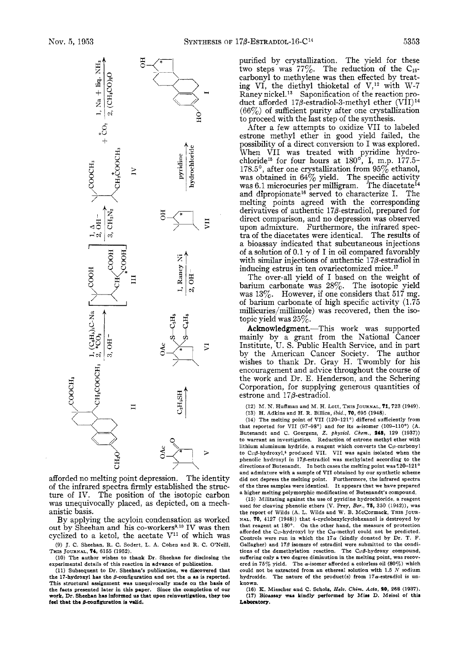

afforded no melting point depression. The identity of the infrared spectra firmly established the structure of IV. The position of the isotopic carbon was unequivocally placed, as depicted, on a mechanistic basis.

By applying the acyloin condensation as worked out by Sheehan and his co-workers<sup>9,10</sup> IV was then cyclized to a ketol, the acetate  $V^{11}$  of which was (9) J. C. Sheehan, R. C. Sodert, L. A. Cohen and R. C. O'Neill,

THIS **JOURNAL,** 74, 6155 (1952). (10) The author wishes to thank Dr. Sheehan for disclosing the experimental details of this reaction in advance of publication.

(11) Subsequent to Dr. Sheehan's publication, we discovered that the 17-hydroxyl has the  $\beta$ -configuration and not the  $\alpha$  as is reported. This structural assignment was unequivocally made **on** the basis of the facts presented later in this paper. Since the completion **of our work,** Dr. Sheehan has **informed ua** that **upon** reinveatigation. thep **too**  feel that the  $\beta$ -configuration is valid.

purified by crystallization. The yield for these two steps was  $77\%$ . The reduction of the C<sub>16</sub>carbonyl to methylene was then effected by treating VI, the diethyl thioketal of  $V,^{12}$  with W-7 Raney nickel.<sup>13</sup> Saponification of the reaction product afforded 17*β*-estradiol-3-methyl ether (VII)<sup>14</sup>  $(66%)$  of sufficient purity after one crystallization to proceed with the last step of the synthesis.

After a few attempts to oxidize VI1 to labeled estrone methyl ether in good yield failed, the possibility of a direct conversion to I was explored. When VII was treated with pyridine hydro-<br>chloride<sup>15</sup> for four hours at 180°, I, m.p. 177.5-178.5°, after one crystallization from  $95\%$  ethanol, was obtained in  $64\%$  yield. The specific activity was 6.1 microcuries per milligram. The diacetate<sup>14</sup> and dipropionate<sup>16</sup> served to characterize I. The melting points agreed with the corresponding derivatives of authentic 17P-estradio1, prepared for direct comparison, and no depression was observed upon admixture. Furthermore, the infrared spectra of the diacetates were identical. The results of a bioassay indicated that subcutaneous injections of a solution of  $0.1 \gamma$  of I in oil compared favorably with similar injections of authentic  $17\beta$ -estradiol in inducing estrus in ten ovariectomized mice. **l7** 

The over-all yield of I based on the weight of barium carbonate was  $28\%$ . The isotopic yield was **13%.** However, if one considers that 517 mg. of barium carbonate of high specific activity (1.75 millicuries/millimole) was recovered, then the isotopic yield was  $25\%$ .

Acknowledgment.-This work was supported mainly by a grant from the National Cancer Institute, U. S. Public Health Service, and in part by the American Cancer Society. The author wishes to thank Dr. Gray H. Twombly for his encouragement and advice throughout the course of the work and Dr. E. Henderson, and the Schering Corporation, for supplying generous quantities of estrone and  $17\beta$ -estradiol.

(12) M. N. Huffman and M. H. Lott, THIS **JOURNAL,** 71,723 (1949).

(13) H. Adkins and H. R. Billica, *ibid.,* 70, 695 (1948).

(14) The melting point of VII (120-121°) differed sufficiently from that reported for VI1 (97-98') and for its a-isomer (109-110°) (A. Butenandt and C. Goergens, *2. physiol. Chcm.,* **148,** 129 (1937)) to warrant an investigation. Reduction of estrone methyl ether with lithium aluminum hydride, a reagent which converts the Cn-carbonyl to  $C_{17}\beta$ -hydroxyl,<sup>5</sup> produced VII. VII was again isolated when the phenolic hydroxyl **in** l7pestradiol was methylated according to the directions of Butenandt. In both cases the melting point was 120-121' and admixture with a sample of VI1 obtained by our synthetic scheme did not depress the melting point. Furthermore, the infrared spectra of the three samples were identical. It appears that we have prepared a higher melting polymorphic modification of Butenandt's compound.

(15) Militating against the use of pyridine hydrochloride, a reagent used for cleaving phenolic ethers (V. Prey, *Ber.*, **75**, 350 (1942)), was the report of Wilds (A. L. Wilds and W. B. McCormack, THIS JOUR-**NAL,** 70, 4127 (1948)) that **4-cyclohexylcyclohexanol** is destroyed by that reagent at 180°. **On** the other hand, the measure of protection afforded the C<sub>17</sub>-hydroxyl by the C<sub>13</sub>-methyl could not be predicted. Controls were run in which the  $17\alpha$  (kindly donated by Dr. T. F. Gallagher) and  $17\beta$  isomers of estradiol were submitted to the conditions of the demethylation reaction. The  $C_{17}\beta$ -hydroxy compound, suffering only a two degree diminution in the melting point, was recovered in  $75\%$  yield. The  $\alpha$ -isomer afforded a colorless oil (80%) which could not be extracted from an ethereal solution with 1.5 *N* sodium hydroxide. The nature of the product(s) from 17a-estradiol is unknown.

(le) **IC.** Miescher and C. Schols, *Hcfs.* **Chim.** *Ada,* **90, 268** (1937). **(17)** Bioassay wan kindly performed **by** Mias **D.** Meisel **of thin**  Laboratory.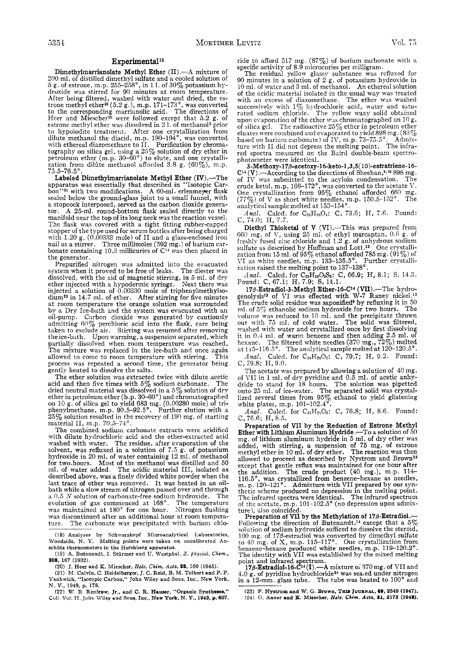#### Experimental<sup>18</sup>

Dimethylmarrianolate Methyl Ether **(11) .-A** mixture of 200 ml. of distilled dimethyl sulfate and a cooled solution of *5* g. of estrone, m.p. *255-258",* in 11. of 30% potassium hydroxide was stirred for 90 minutes at room temperature. After being filtered, washed with water and dried, the es-<br>trone methyl ether<sup>19</sup> (5.2 g.), m.p. 171-173<sup>°</sup>, was converted to the corresponding marrianolic acid. The directions of Heer and Miescher20 were followed except that 5.2 g. of estrone methyl ether was dissolved in 2 1. of methanol2 prior to hypoiodite treatment. After one crystallization from dilute methanol the diacid, m.p. 190-194', was converted with ethereal diazomethane to 11. Purification by chromatography on silica gel, using a *25%* solution of dry ether in petroleum ether  $(m.p. 30-60°)$  to elute, and one crystallization from dilute methanol afforded  $3.8$  g.  $(60\%)$ , m.p.  $75.5 - 76.5$ °

Labeled Dimethylmarrianolate Methyl Ether  $(IV)$ .—Th apparatus was essentially that described in "Isotopic Carbon"21 with two modifications. **A** 60-ml. erlenmeyer flask sealed below the ground-glass joint to a small funnel, with a stopcock interposed, served as the carbon dioxide genera-<br>tor. A 25-ml. round-bottom flask sealed directly to the A 25-ml. round-bottom flask sealed directly to the manifold near the top of its long neck was the reaction vessel. The flask was covered with a tight fitting rubber-capped stopper of the type used for serum bottles after being charged supper of the 1.20 g. (0.00333 mole) of II and a glass-enclosed iron<br>nail as a stirrer. Three millimoles (592 mg.) of barium carhair as a stirrer. Three minimoles ( $592 \text{ mg}$ .) or barium car-<br>bonate containing 10.3 millicuries of  $C^{14}$  was then placed in the generator.

Prepurified nitrogen was admitted into the evacuated system when it proved to be free of leaks. The diester was system when it proved to be free of leads of magnetic stirring, in *5 ml.* of dry ether injected with a hypodermic syringe. Next there was ether injected with a hypodermic syringe. Next there was injected a solution of 0.00330 mole of triphenylmethylsodium22 in 14.7 ml. of ether. After stirring for five minutes at room temperature the orange solution was surrounded by a Dry Ice-bath and the system was evacuated with an oil-pump. Carbon dioxide was generated by cautiously admitting 60% perchloric acid into the flask, care being taken to exclude air. Stirring was resumed after removing the ice-bath. Upon warming, a suspension separated, which partially dissolved when room temperature was reached. The mixture was replaced in the ice-bath and once again<br>allowed to come to room temperature with stirring. This allowed to come to room temperature with stirring. process was repeated a second time, the generator being gently heated to dissolve the salts.

The ether solution was extracted twice with dilute acetic acid and then five times with  $5\%$  sodium carbonate. The dried neutral material was dissolved in a *5%* solution of drv ether in petroleum ether (b.p. 30–60°) and chromatographed on 10 g. of silica gel to yield 683 mg. (0.00280 mole) of triphenylmethane, m.p. 90.5-92.5'. Further elution with a  $25\%$  solution resulted in the recovery of  $190$  mg. of starting material II, m.p.  $70.5-74$ °.

The combined sodium carbonate extracts were acidified with dilute hydrochloric acid and the ether-extracted acid washed with water. The residue, after evaporation of the solvent, was refluxed in a solution of 7.5 g. of potassium hydroxide in 20 ml. of water containing 12 ml. of methanol<br>for two.hours. Most of the methanol was distilled and 50<br>ml. of water added. The acidic material III, isolated as<br>described above, was a finely divided white powde described above, was a finely divided white powder when the last trace of ether was removed. It was heated in an oil-<br>bath while a slow stream of nitrogen passed over and through a 0.5 *N* solution of carbonate-free sodium hydroxide. The evolution of gas commenced at 168". The temperature was maintained at 180" for one hour. Nitrogen flushing was discontinued after an additional hour at room temperature. The carbonate was precipitated with barium chloride to afford 517 mg. (87%) of barium carbonate with *a* specific activity of 8.9 microcuries per milligram.

The residual yellow glassy substance was refluxed for 90 minutes in a solution of  $2 \text{ g}$ , of potassium hydroxide in 10 ml. of water and 3 ml. of methanol. **An** ethereal solution of the acidic material isolated in the usual way was treated with an excess of diazomethane. The ether was washed successively with 1 *yo* hydrochloric acid, water and saturated sodium chloride. The yellow waxy solid obtained upon evaporation of the ether was chromatographed on 10 g. of silica gel. The radioactive *25%* ether in petroleum ether eluates were combined and evaporated to yield 898 mg.  $(83\%$ based on barium carbonate) of IV, m.p. 73–75.5°. Admix-<br>ture with II did not depress the melting point. The infrared spectra measured on the Baird double-beam spectrophotometer were identical.

**3-Methoxy-17p-acetoxy-l6-keto-l,3,5(** lO)-estratriene-16-  $C^{14}$  (V).—According to the directions of Sheehan,<sup>9,10</sup> 898 mg. of IV was submitted to the acyloin condensation. The crude ketol, m.p. 166–172°, was converted to the acetate  $\rm V$ . One crystallization from  $95\%$  ethanol afforded  $660$  mg.  $(77\%)$  of V as short white needles, m.p. 150.5-152°. The analytical sample melted at 153–154 $^{\circ}$ 

*Anal.* Calcd. for  $C_{21}H_{26}O_4$ : C, 73.6; H, 7.6. Found: C, 74.0; H, 7.7.

Diethyl Thioketal of V  $(VI)$ .-This was prepared from GGO mg. of V, using *25* id. of ethyl mercaptan, 0.0 g. of freshlv fused zinc chloride and 1.2 g. of anhydrous sodium sulfate as descrioed by Huffman and Lott.12 One crystallization from 15 ml. of  $95\%$  ethanol afforded 785 mg.  $(91\%)$  of VI as white needles, m.p. 133-135.5°. Further crystallization raised the melting point to 137-138'.

*Anal.* Calcd. for C<sub>25</sub>H<sub>36</sub>O<sub>3</sub>S<sub>2</sub>: C, 66.9; H, 8.1; S, 14.3. Found: C, 67.1; H, 7.9; S, 14.1.

178-Estradiol-3-Methyl Ether-16-C<sup>14</sup> (VII) .--The hydro-genolysis<sup>12</sup> of VI was effected with W-7 Raney nickel.<sup>13</sup> The crude solid residue was saponified<sup> $\theta$ </sup> by refluxing it in 50 ml of 5% ethanolic sodium hydroxide for two hours. The ml. of  $5\%$  ethanolic sodium hydroxide for two hours. volume was reduced to 10 ml. and the precipitate thrown out with 75 ml. of cold water. The solid was filtered, washed with water and crystallized once by first dissolving it in 0.4 ml. of warm benzene and then adding 2.5 ml. of hexane. The filtered white needles (370 mg.,  $72\%$ ) melted at 115–116.5°.  $\,$  The analytical sample melted at 120–120.5°  $\,$ 

Anal. Calcd. for C<sub>19</sub>H<sub>26</sub>O<sub>2</sub>: C, 79.7; H, 9.2. Found: C, 79.8; H, 9.0.

The acetate was prepared by allowing a solution of 40 mg. of VI1 in 1 ml. of dry pyridine and 0.5 ml. of acetic anhydride to stand for 18 hours. The solution was pipetted onto 25 ml. of ice-water. The separated solid was crystallized several times from 95% ethanol to yield glistening white plates, m.p. 101-103.4'.

Anal. Calcd. for C<sub>21</sub>H<sub>23</sub>O<sub>3</sub>: C, 76.8; H, 8.6. Found: C, 76.6; H, 8.5.

Preparation of **VI1** by the Reduction of Estrone Methyl Ether with Lithium Aluminum Hydride.—To a solution of  $50 \text{ mg}$ , of lithium aluminum hydride in 5 ml. of dry ether was mg. of lithium aluminum hydride in **5** ml. of dry ether was added, with stirring, a suspension of 75 mg. of estrone methyl ether in 10 ml. of dry ether. The reaction was then allowed to proceed as described by Nystrom and Brown<sup>23</sup> except that gentle reflux was maintained for one hour after the addition. The crude product (40 mg.), m.p. **114-**  116.5', was crystallized from benzene-hexane as needles, m. p. **120-121'.** Admixture with VI1 prepared by our synthetic scheme produced no depression in the melting point.<br>The infrared spectra were identical. The infrared spectrum of the acetate, m.p. 101–102.5° (no depression upon admix-<br>ture), also coincided.

Preparation **of VIS by** the Methylation **of** 17p-Estradiol.- Following the direction of Butenandt,<sup>14</sup> except that a  $5\%$ solution of sodium hydroxide sufficed to dissolve the steroid, 100 mg. of 178-estradiol was converted by dimethyl sulfate to 40 mg. of X, m.p. 115-117'. One crystallization from benzene-hexane produced white needles, m.p. 119-120.2'. The identity with VI1 was established by the mixed melting

point and infrared spectrum.<br>
17<sup>6</sup>-Estradiol-16-C<sup>14</sup>(I).---A mixture oi 870 mg. of VII and 4.0 g. of pyridine hydrochloride<sup>24</sup> was sea,ed under nitrogen in a 12-mm. glass tube. The tube was heated to 100<sup>°</sup> and

**(23) F. Nystrom and W.** *G.* **Brown, THIS JOURNAL, 69,2649 (1947). !24)** *0.* **Anner and I[(. Nicschcr, Rdr. Chim.** *Acta,* **81, 2173 (1948).** 

**<sup>(18)</sup> Analyses by Schwarzkopf Microanalytical Laboratories, Woodside,** N. *Y.* **Melting points were taken** on **uncalibrated Anschiitz thermometers in the Hershberg apparatus.** 

**<sup>(19)</sup> A. Butenandt, I. Stiirmer and U. Westphal,** *Z. physiol. Chcm..*  **%OS, 157 (1932).** 

**<sup>(20)</sup> J. Heer and K. Miescher,** *Helu. Chim.* **Acta, 18, 160 (1945).** 

**<sup>(21)</sup> M. Calvin, C. Heidelberger, J. C. Reid, B. M. Tolbert and P. F. Pankwich, "Isotopic Carbon," John Wiley and** Sons, Inc., **New York, N.** *Y.,* **1949, p. 178.** 

**<sup>(22)</sup> W. B Renfrow, Jr., and C. R. Hauser, "Organic Spnthcaes,"**  Cull. Voi, **IT. John \>\*:ley and Sons, Inc., New York.** N. **Y., 1943, p. 607.**